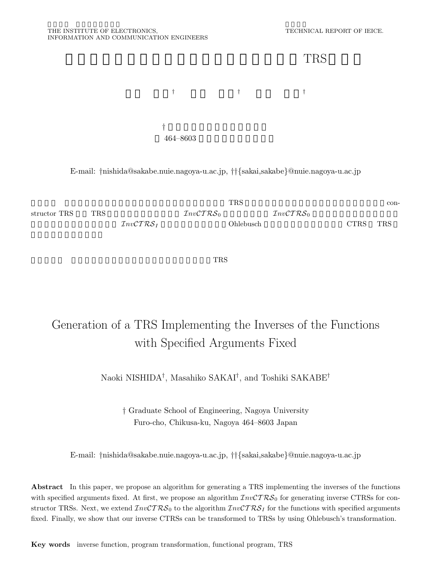

E-mail: *†*nishida@sakabe.nuie.nagoya-u.ac.jp, *††{*sakai,sakabe*}*@nuie.nagoya-u.ac.jp



 $TRS$ 

# Generation of a TRS Implementing the Inverses of the Functions with Specified Arguments Fixed

Naoki NISHIDA*†*, Masahiko SAKAI*†*, and Toshiki SAKABE*†*

*†* Graduate School of Engineering, Nagoya University Furo-cho, Chikusa-ku, Nagoya 464–8603 Japan

E-mail: *†*nishida@sakabe.nuie.nagoya-u.ac.jp, *††{*sakai,sakabe*}*@nuie.nagoya-u.ac.jp

**Abstract** In this paper, we propose an algorithm for generating a TRS implementing the inverses of the functions with specified arguments fixed. At first, we propose an algorithm  $InvCTRS_0$  for generating inverse CTRSs for constructor TRSs. Next, we extend  $InvCTRS_0$  to the algorithm  $InvCTRS_I$  for the functions with specified arguments fixed. Finally, we show that our inverse CTRSs can be transformed to TRSs by using Ohlebusch's transformation.

**Key words** inverse function, program transformation, functional program, TRS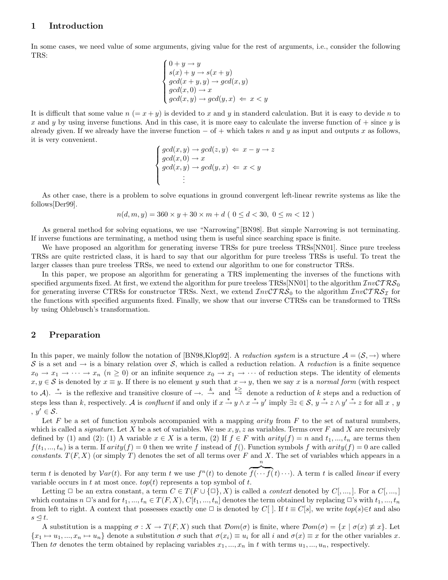# **1 Introduction**

In some cases, we need value of some arguments, giving value for the rest of arguments, i.e., consider the following TRS:

$$
\begin{cases}\n0 + y \to y \\
s(x) + y \to s(x + y) \\
\gcd(x + y, y) \to \gcd(x, y) \\
\gcd(x, 0) \to x \\
\gcd(x, y) \to \gcd(y, x) \Leftarrow x < y\n\end{cases}
$$

It is difficult that some value  $n (= x + y)$  is devided to x and y in standerd calculation. But it is easy to devide n to x and y by using inverse functions. And in this case, it is more easy to calculate the inverse function of  $+$  since y is already given. If we already have the inverse function  $-$  of  $+$  which takes n and y as input and outputs x as follows, it is very convenient.

$$
\begin{cases}\n\gcd(x,y) \to \gcd(z,y) \iff x - y \to z \\
\gcd(x,0) \to x \\
\gcd(x,y) \to \gcd(y,x) \iff x < y \\
\vdots\n\end{cases}
$$

As other case, there is a problem to solve equations in ground convergent left-linear rewrite systems as like the follows[Der99].

$$
n(d, m, y) = 360 \times y + 30 \times m + d \ (0 \leq d < 30, \ 0 \leq m < 12)
$$

As general method for solving equations, we use "Narrowing"[BN98]. But simple Narrowing is not terminating. If inverse functions are terminating, a method using them is useful since searching space is finite.

We have proposed an algorithm for generating inverse TRSs for pure treeless TRSs[NN01]. Since pure treeless TRSs are quite restricted class, it is hard to say that our algorithm for pure treeless TRSs is useful. To treat the larger classes than pure treeless TRSs, we need to extend our algorithm to one for constructor TRSs.

In this paper, we propose an algorithm for generating a TRS implementing the inverses of the functions with specified arguments fixed. At first, we extend the algorithm for pure treeless TRSs[NN01] to the algorithm  $InvCTRS_0$ for generating inverse CTRSs for constructor TRSs. Next, we extend  $InvCTRS_0$  to the algorithm  $InvCTRS<sub>I</sub>$  for the functions with specified arguments fixed. Finally, we show that our inverse CTRSs can be transformed to TRSs by using Ohlebusch's transformation.

# **2 Preparation**

In this paper, we mainly follow the notation of [BN98,Klop92]. A *reduction system* is a structure  $A = (\mathcal{S}, \rightarrow)$  where S is a set and  $\rightarrow$  is a binary relation over S, which is called a reduction relation. A *reduction* is a finite sequence  $x_0 \to x_1 \to \cdots \to x_n$   $(n \geq 0)$  or an infinite sequence  $x_0 \to x_1 \to \cdots$  of reduction steps. The identity of elements  $x, y \in S$  is denoted by  $x \equiv y$ . If there is no element y such that  $x \to y$ , then we say x is a *normal form* (with respect to A).  $\stackrel{*}{\rightarrow}$  is the reflexive and transitive closure of  $\rightarrow$ .  $\stackrel{k}{\rightarrow}$  and  $\stackrel{k\geq}{\rightarrow}$  denote a reduction of k steps and a reduction of steps less than k, respectively. A is *confluent* if and only if  $x \stackrel{*}{\rightarrow} y \wedge x \stackrel{*}{\rightarrow} y'$  imply  $\exists z \in S$ ,  $y \stackrel{*}{\rightarrow} z \wedge y' \stackrel{*}{\rightarrow} z$  for all x, y ,  $y' \in \mathcal{S}$ .

Let F be a set of function symbols accompanied with a mapping *arity* from F to the set of natural numbers, which is called a *signature*. Let X be a set of variables. We use  $x, y, z$  as variables. Terms over F and X are recursively defined by (1) and (2): (1) A variable  $x \in X$  is a term, (2) If  $f \in F$  with  $arity(f) = n$  and  $t_1, ..., t_n$  are terms then  $f(t_1, ..., t_n)$  is a term. If  $arity(f) = 0$  then we write f instead of  $f()$ . Function symbols f with  $arity(f) = 0$  are called *constants.*  $T(F, X)$  (or simply T) denotes the set of all terms over F and X. The set of variables which appears in a n

term t is denoted by  $Var(t)$ . For any term t we use  $f^n(t)$  to denote  $\overbrace{f(\cdots f(t)\cdots)}$ . A term t is called *linear* if every variable occurs in t at most once.  $top(t)$  represents a top symbol of t.

Letting  $\Box$  be an extra constant, a term  $C \in T(F \cup \{\Box\}, X)$  is called a *context* denoted by  $C[,...]$ . For a  $C[,...]$ which contains  $n \Box$ 's and for  $t_1, ..., t_n \in T(F, X), C[t_1, ..., t_n]$  denotes the term obtained by replacing  $\Box$ 's with  $t_1, ..., t_n$ from left to right. A context that possesses exactly one  $\Box$  is denoted by C[]. If  $t \equiv C[s]$ , we write  $top(s) \in t$  and also  $s \lhd t$ .

A substitution is a mapping  $\sigma: X \to T(F, X)$  such that  $Dom(\sigma)$  is finite, where  $Dom(\sigma) = \{x \mid \sigma(x) \neq x\}$ . Let  ${x_1 \mapsto u_1, ..., x_n \mapsto u_n}$  denote a substitution  $\sigma$  such that  $\sigma(x_i) \equiv u_i$  for all i and  $\sigma(x) \equiv x$  for the other variables x. Then to denotes the term obtained by replacing variables  $x_1, ..., x_n$  in t with terms  $u_1, ..., u_n$ , respectively.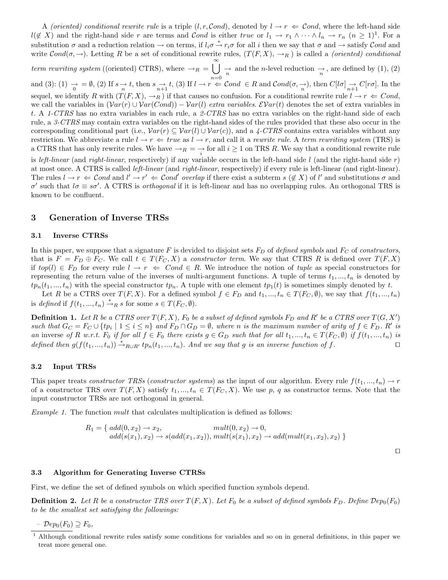A *(oriented)* conditional rewrite rule is a triple  $(l, r, Cond)$ , denoted by  $l \rightarrow r \Leftarrow Cond$ , where the left-hand side  $l(\notin X)$  and the right-hand side r are terms and Cond is either true or  $l_1 \to r_1 \wedge \cdots \wedge l_n \to r_n$   $(n \geq 1)^1$ . For a substitution  $\sigma$  and a reduction relation  $\to$  on terms, if  $l_i\sigma \stackrel{*}{\to} r_i\sigma$  for all i then we say that  $\sigma$  and  $\to$  satisfy Cond and write  $Cond(\sigma, \rightarrow)$ . Letting R be a set of conditional rewrite rules,  $(T(F, X), \rightarrow_R)$  is called a *(oriented) conditional* 

*term rewriting system* ((oriented) CTRS), where  $\rightarrow_R = \bigcup_{n=1}^{\infty}$  $\bigcup_{n=0}$   $\rightarrow$  and the *n*-level reduction  $\rightarrow$ , are defined by (1), (2) and (3): (1)  $\rightarrow \infty$  = Ø, (2) If  $s \rightarrow \infty$  t, then  $s \rightarrow \infty$  t, (3) If  $l \rightarrow r$   $\in \mathcal{C}$  cond  $\in R$  and  $\mathcal{C}$  cond $(\sigma, \rightarrow)$ , then  $C[l\sigma] \rightarrow C[r\sigma]$ . In the sequel, we identify R with  $(T(F, X), \rightarrow_R)$  if that causes no confusion. For a conditional rewrite rule  $l \rightarrow r \Leftarrow Cond$ , we call the variables in  $(Var(r) \cup Var(Cond)) - Var(l)$  *extra variables.*  $EVar(t)$  denotes the set of extra variables in t. A *1-CTRS* has no extra variables in each rule, a *2-CTRS* has no extra variables on the right-hand side of each rule, a *3-CTRS* may contain extra variables on the right-hand sides of the rules provided that these also occur in the corresponding conditional part (i.e.,  $Var(r) \subseteq Var(l) \cup Var(c)$ ), and a 4-CTRS contains extra variables without any restriction. We abbreviate a rule  $l \to r \Leftarrow true$  as  $l \to r$ , and call it a *rewrite rule*. A *term rewriting system* (TRS) is a CTRS that has only rewrite rules. We have  $\rightarrow_R \ =\ \rightarrow_{i}$  for all  $i\geq 1$  on TRS R. We say that a conditional rewrite rule is *left-linear* (and *right-linear*, respectively) if any variable occurs in the left-hand side  $l$  (and the right-hand side r) at most once. A CTRS is called *left-linear* (and *right-linear*, respectively) if every rule is left-linear (and right-linear). The rules  $l \to r \Leftrightarrow \mathcal{C}$ *ond* and  $l' \to r' \Leftrightarrow \mathcal{C}$ *ond' overlap* if there exist a subterm  $s \notin X$  of l' and substitutions  $\sigma$  and  $\sigma'$  such that  $l\sigma \equiv s\sigma'$ . A CTRS is *orthogonal* if it is left-linear and has no overlapping rules. An orthogonal TRS is known to be confluent.

## **3 Generation of Inverse TRSs**

#### **3.1 Inverse CTRSs**

In this paper, we suppose that a signature F is devided to disjoint sets  $F_D$  of *defined symbols* and  $F_C$  of *constructors*, that is  $F = F_D \oplus F_C$ . We call  $t \in T(F_C, X)$  a *constructor term*. We say that CTRS R is defined over  $T(F, X)$ if  $top(l) \in F_D$  for every rule  $l \to r \Leftrightarrow Cond \in R$ . We introduce the notion of *tuple* as special constructors for representing the return value of the inverses of multi-argument functions. A tuple of terms  $t_1, ..., t_n$  is denoted by  $tp_n(t_1, ..., t_n)$  with the special constructor  $tp_n$ . A tuple with one element  $tp_1(t)$  is sometimes simply denoted by t.

Let R be a CTRS over  $T(F, X)$ . For a defined symbol  $f \in F_D$  and  $t_1, ..., t_n \in T(F_C, \emptyset)$ , we say that  $f(t_1, ..., t_n)$ is *defined* if  $f(t_1, ..., t_n) \stackrel{*}{\rightarrow}_R s$  for some  $s \in T(F_C, \emptyset)$ .

**Definition 1.** Let R be a CTRS over  $T(F, X)$ ,  $F_0$  be a subset of defined symbols  $F_D$  and  $R'$  be a CTRS over  $T(G, X')$ *such that*  $G_C = F_C \cup \{tp_i \mid 1 \leq i \leq n\}$  and  $F_D \cap G_D = \emptyset$ , where *n* is the maximum number of arity of  $f \in F_D$ . R' is *an* inverse of R *w.r.t.* F<sub>0</sub> if for all  $f \in F_0$  there exists  $g \in G_D$  such that for all  $t_1, ..., t_n \in T(F_C, \emptyset)$  if  $f(t_1, ..., t_n)$  is *defined then*  $g(f(t_1, ..., t_n)) \stackrel{*}{\rightarrow}_{R\cup R'} tp_n(t_1, ..., t_n)$ . And we say that g is an inverse function of f.

#### **3.2 Input TRSs**

This paper treats *constructor TRSs* (*constructor systems*) as the input of our algorithm. Every rule  $f(t_1, ..., t_n) \to r$ of a constructor TRS over  $T(F, X)$  satisfy  $t_1, ..., t_n \in T(F_C, X)$ . We use p, q as constructor terms. Note that the input constructor TRSs are not orthogonal in general.

*Example 1.* The function mult that calculates multiplication is defined as follows:

$$
R_1 = \{ add(0, x_2) \to x_2, \quad mult(0, x_2) \to 0, add(s(x_1), x_2) \to s(add(x_1, x_2)), mult(s(x_1), x_2) \to add(mult(x_1, x_2), x_2) \}
$$

 $\Box$ 

#### **3.3 Algorithm for Generating Inverse CTRSs**

First, we define the set of defined symbols on which specified function symbols depend.

**Definition 2.** Let R be a constructor TRS over  $T(F, X)$ . Let  $F_0$  be a subset of defined symbols  $F_D$ . Define  $Dep_0(F_0)$ *to be the smallest set satisfying the followings:*

*–* Dep0(F0) ⊇ F0*,*

<sup>1</sup> Although conditional rewrite rules satisfy some conditions for variables and so on in general definitions, in this paper we treat more general one.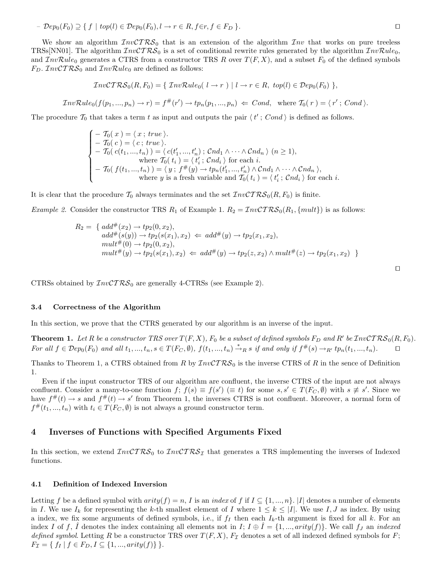*–*  $\mathcal{D}ep_0(F_0) \supseteq \{f \mid top(l) \in \mathcal{D}ep_0(F_0), l \rightarrow r \in R, f \in r, f \in F_D\}$ .

We show an algorithm  $InvCTRS_0$  that is an extension of the algorithm  $Inv$  that works on pure treeless TRSs[NN01]. The algorithm  $InvCTRS_0$  is a set of conditional rewrite rules generated by the algorithm  $InvRule_0$ , and  $InvRule_0$  generates a CTRS from a constructor TRS R over  $T(F, X)$ , and a subset  $F_0$  of the defined symbols  $F_D$ .  $\mathcal{I}nv\mathcal{C}T\mathcal{R}\mathcal{S}_0$  and  $\mathcal{I}nv\mathcal{R}ule_0$  are defined as follows:

$$
InvCTRS_0(R, F_0) = \{ InvRule_0( l \rightarrow r) | l \rightarrow r \in R, top(l) \in Dep_0(F_0) \},
$$

$$
InvRule_0(f(p_1,...,p_n) \to r) = f^{\#}(r') \to tp_n(p_1,...,p_n) \Leftarrow Cond, \text{ where } T_0(r) = \langle r'; Cond \rangle.
$$

The procedure  $\mathcal{T}_0$  that takes a term t as input and outputs the pair  $\langle t' ; Cond \rangle$  is defined as follows.

$$
\begin{cases}\n- T_0(x) = \langle x ; true \rangle. \\
- T_0(c) = \langle c ; true \rangle. \\
- T_0(c(t_1, ..., t_n)) = \langle c(t'_1, ..., t'_n) ; \mathcal{C}nd_1 \wedge \cdots \wedge \mathcal{C}nd_n \rangle \ (n \ge 1), \\
\text{where } T_0(t_i) = \langle t'_i ; \mathcal{C}nd_i \rangle \text{ for each } i. \\
- T_0(f(t_1, ..., t_n)) = \langle y ; f^{\#}(y) \rightarrow tp_n(t'_1, ..., t'_n) \wedge \mathcal{C}nd_1 \wedge \cdots \wedge \mathcal{C}nd_n \rangle, \\
\text{where } y \text{ is a fresh variable and } T_0(t_i) = \langle t'_i ; \mathcal{C}nd_i \rangle \text{ for each } i.\n\end{cases}
$$

It is clear that the procedure  $\mathcal{T}_0$  always terminates and the set  $\mathcal{I}nv\mathcal{C}T\mathcal{R}\mathcal{S}_0(R, F_0)$  is finite.

*Example 2.* Consider the constructor TRS  $R_1$  of Example 1.  $R_2 = InvCTRS_0(R_1, \{mult\})$  is as follows:

$$
R_2 = \{ add^{\#}(x_2) \to tp_2(0, x_2),add^{\#}(s(y)) \to tp_2(s(x_1), x_2) \Leftarrow add^{\#}(y) \to tp_2(x_1, x_2),mult^{\#}(0) \to tp_2(0, x_2),mult^{\#}(y) \to tp_2(s(x_1), x_2) \Leftarrow add^{\#}(y) \to tp_2(z, x_2) \land mult^{\#}(z) \to tp_2(x_1, x_2) \}
$$

CTRSs obtained by  $InvCTRS_0$  are generally 4-CTRSs (see Example 2).

#### **3.4 Correctness of the Algorithm**

In this section, we prove that the CTRS generated by our algorithm is an inverse of the input.

**Theorem 1.** Let R be a constructor TRS over  $T(F, X)$ ,  $F_0$  be a subset of defined symbols  $F_D$  and  $R'$  be  $InvCTRS_0(R, F_0)$ . *For all*  $f \in \mathcal{D}ep_0(F_0)$  and all  $t_1, ..., t_n, s \in T(F_C, \emptyset)$ ,  $f(t_1, ..., t_n) \stackrel{*}{\rightarrow} R s$  *if and only if*  $f^*(s) \rightarrow_{R'} tp_n(t_1, ..., t_n)$ .

Thanks to Theorem 1, a CTRS obtained from R by  $\mathcal{I}nv\mathcal{C}T\mathcal{RS}_0$  is the inverse CTRS of R in the sence of Definition 1.

Even if the input constructor TRS of our algorithm are confluent, the inverse CTRS of the input are not always confluent. Consider a many-to-one function  $f$ ;  $f(s) \equiv f(s') \equiv t$  for some  $s, s' \in T(F_C, \emptyset)$  with  $s \not\equiv s'$ . Since we have  $f^{\#}(t) \to s$  and  $f^{\#}(t) \to s'$  from Theorem 1, the inverses CTRS is not confluent. Moreover, a normal form of  $f^{\#}(t_1, ..., t_n)$  with  $t_i \in T(F_C, \emptyset)$  is not always a ground constructor term.

#### **4 Inverses of Functions with Specified Arguments Fixed**

In this section, we extend  $InvCTRS_0$  to  $InvCTRS_{\mathcal{I}}$  that generates a TRS implementing the inverses of Indexed functions.

#### **4.1 Definition of Indexed Inversion**

Letting f be a defined symbol with  $arity(f) = n$ , I is an *index* of f if  $I \subseteq \{1, ..., n\}$ . |I| denotes a number of elements in I. We use  $I_k$  for representing the k-th smallest element of I where  $1 \leq k \leq |I|$ . We use  $I, J$  as index. By using a index, we fix some arguments of defined symbols, i.e., if  $f_I$  then each  $I_k$ -th argument is fixed for all k. For an index I of f, I denotes the index containing all elements not in I;  $I \oplus I = \{1, ..., arity(f)\}\)$ . We call f<sub>J</sub> an *indexed defined symbol.* Letting R be a constructor TRS over  $T(F, X)$ ,  $F<sub>\mathcal{I}</sub>$  denotes a set of all indexed defined symbols for F;  $F_{\mathcal{I}} = \{ f_I \mid f \in F_D, I \subseteq \{1, ..., arity(f)\} \}.$ 

 $\Box$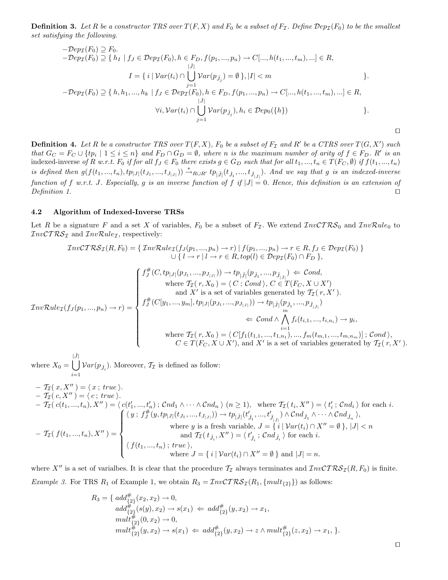**Definition 3.** Let R be a constructor TRS over  $T(F, X)$  and  $F_0$  be a subset of  $F<sub>I</sub>$ . Define  $\rho_{\text{PZ}}(F_0)$  to be the smallest *set satisfying the following.*

$$
-Dep_{\mathcal{I}}(F_0) \supseteq F_0.
$$
  
\n
$$
-Dep_{\mathcal{I}}(F_0) \supseteq F_0.
$$
  
\n
$$
-Dep_{\mathcal{I}}(F_0) \supseteq \{h_I \mid f_J \in Dep_{\mathcal{I}}(F_0), h \in F_D, f(p_1, ..., p_n) \to C[..., h(t_1, ..., t_m), ...] \in R,
$$
  
\n
$$
I = \{i \mid Var(t_i) \cap \bigcup_{j=1}^{|j|} Var(p_{j_j}) = \emptyset\}, |I| < m
$$
  
\n
$$
-Dep_{\mathcal{I}}(F_0) \supseteq \{h, h_1, ..., h_k \mid f_J \in Dep_{\mathcal{I}}(F_0), h \in F_D, f(p_1, ..., p_n) \to C[..., h(t_1, ..., t_m), ...] \in R,
$$
  
\n
$$
|J|
$$

$$
\forall i, \mathcal{V}ar(t_i) \cap \bigcup_{j=1}^{|J|} \mathcal{V}ar(p_{\hat{J}_j}), h_i \in \mathcal{D}ep_0(\lbrace h \rbrace)
$$
 \n
$$
\qquad \qquad \}
$$

**Definition 4.** Let R be a constructor TRS over  $T(F, X)$ ,  $F_0$  be a subset of  $F_{\mathcal{I}}$  and R' be a CTRS over  $T(G, X')$  such *that*  $G_C = F_C \cup \{tp_i \mid 1 \leq i \leq n\}$  and  $F_D \cap G_D = \emptyset$ , where n is the maximum number of arity of  $f \in F_D$ . R' is an indexed-inverse of R w.r.t.  $F_0$  *if for all*  $f_J \in F_0$  *there exists*  $g \in G_D$  *such that for all*  $t_1, ..., t_n \in T(F_C, \emptyset)$  *if*  $f(t_1, ..., t_n)$ *is defined then*  $g(f(t_1, ..., t_n), tp_{|J|}(t_{J_1}, ..., t_{J_{|J|}})) \stackrel{*}{\rightarrow}_{R\cup R'} tp_{|J|}(t_{\hat{J}_1}, ..., t_{\hat{J}_{|\hat{J}|}})$ . And we say that g is an indexed-inverse *function of* f w.r.t. J. Especially, g is an inverse function of f if  $|J| = 0$ . Hence, this definition is an extension of *Definition 1.*

#### **4.2 Algorithm of Indexed-Inverse TRSs**

Let R be a signature F and a set X of variables,  $F_0$  be a subset of  $F_{\mathcal{I}}$ . We extend  $\mathcal{I}nv\mathcal{C}T\mathcal{R}\mathcal{S}_0$  and  $\mathcal{I}nv\mathcal{R}ule_0$  to  $InvCTRS<sub>I</sub>$  and  $InvRule<sub>I</sub>$ , respectively:

$$
\mathcal{I}nvCTRS_{\mathcal{I}}(R, F_{0}) = \left\{ \mathcal{I}nvRule_{\mathcal{I}}(f_{J}(p_{1},...,p_{n}) \to r) \mid f(p_{1},...,p_{n}) \to r \in R, f_{J} \in \mathcal{D}ep_{\mathcal{I}}(F_{0}) \right\}
$$

$$
\cup \left\{ l \to r \mid l \to r \in R, top(l) \in \mathcal{D}ep_{\mathcal{I}}(F_{0}) \cap F_{D} \right\},
$$

$$
f_{J}^{\#}(C, tp_{|J|}(p_{J_{1}},...,p_{J_{|J|}})) \to tp_{|J|} (p_{\hat{J}_{1}},...,p_{\hat{J}_{|J|}}) \in \mathcal{C} \text{ond},
$$

$$
\text{where } T_{\mathcal{I}}(r, X_{0}) = \left\langle C; \mathcal{C} \text{ond} \right\rangle, C \in T(F_{C}, X \cup X')
$$

$$
f_{J}^{\#}(C[y_{1},...,y_{m}], tp_{|J|}(p_{J_{1}},...,p_{J_{|J|}})) \to tp_{|J|} (p_{\hat{J}_{1}},...,p_{\hat{J}_{|J|}})
$$

$$
\in \mathcal{C} \text{ond} \land \bigwedge_{i=1}^{m} f(t_{i,1},...,t_{i,n_{i}}) \to y_{i},
$$

$$
\text{where } T_{\mathcal{I}}(r, X_{0}) = \left\langle C[f_{1}(t_{1,1},...,t_{1,n_{1}}),...,f_{m}(t_{m,1},...,t_{m,m_{m}})] ; \mathcal{C} \text{ond} \right\rangle,
$$

$$
C \in T(F_{C}, X \cup X'), \text{ and } X' \text{ is a set of variables generated by } T_{\mathcal{I}}(r, X').
$$

where  $X_0 = \begin{bmatrix} \end{bmatrix}$  $|\hat{J}|$  $i=1$  $Var(p_{\hat{J}_i})$ . Moreover,  $\mathcal{T}_{\mathcal{I}}$  is defined as follow:

$$
T_{\mathcal{I}}(x, X'') = \langle x; true \rangle.
$$
  
\n
$$
-T_{\mathcal{I}}(c, X'') = \langle c; true \rangle.
$$
  
\n
$$
-T_{\mathcal{I}}(c(t_1, ..., t_n), X'') = \langle c(t'_1, ..., t'_n); Cnd_1 \wedge \cdots \wedge Cnd_n \rangle \ (n \ge 1), \text{ where } T_{\mathcal{I}}(t_i, X'') = \langle t'_i; Cnd_i \rangle \text{ for each } i.
$$
  
\n
$$
-T_{\mathcal{I}}(c(t_1, ..., t_n), X'') = \begin{cases} \langle y; f_j^{\#}(y, tp_{|J|}(t_{J_1}, ..., t_{J_{|J|}})) \rightarrow tp_{|\hat{J}|}(t'_{\hat{J}_1}, ..., t'_{\hat{J}_{|\hat{J}|}}) \wedge Cnd_{\hat{J}_1} \wedge \cdots \wedge Cnd_{\hat{J}_n} \rangle, \\ \langle y; f_j^{\#}(y, tp_{|J|}(t_{J_1}, ..., t_{J_{|J|}})) \rightarrow tp_{|\hat{J}|}(t'_{\hat{J}_1}, ..., t'_{\hat{J}_{|\hat{J}|}}) \wedge Cnd_{\hat{J}_1} \wedge \cdots \wedge Cnd_{\hat{J}_n} \rangle, \\ \text{where } y \text{ is a fresh variable, } J = \{ i \mid Var(t_i) \cap X'' = \emptyset \}, |J| < n \text{ and } T_{\mathcal{I}}(t_{\hat{J}_i}, X'') = \langle t'_{\hat{J}_i}; Cnd_{\hat{J}_i} \rangle \text{ for each } i. \end{cases}
$$
  
\nwhere  $J = \{ i \mid Var(t_i) \cap X'' = \emptyset \}$  and  $|J| = n$ .

where X'' is a set of varialbes. It is clear that the procedure  $\mathcal{T}_I$  always terminates and  $\mathcal{I}nv\mathcal{C}TRS_I(R, F_0)$  is finite. *Example 3.* For TRS  $R_1$  of Example 1, we obtain  $R_3 = InvCTRS_{\mathcal{I}}(R_1, \{mult_{\{2\}}\})$  as follows:

$$
R_3 = \{ add_{\{2\}}^{\#}(x_2, x_2) \to 0, add_{\{2\}}^{\#}(s(y), x_2) \to s(x_1) \Leftarrow add_{\{2\}}^{\#}(y, x_2) \to x_1, mult_{\{2\}}^{\#}(0, x_2) \to 0, mult_{\{2\}}^{\#}(y, x_2) \to s(x_1) \Leftarrow add_{\{2\}}^{\#}(y, x_2) \to z \land mult_{\{2\}}^{\#}(z, x_2) \to x_1, \}.
$$

 $\Box$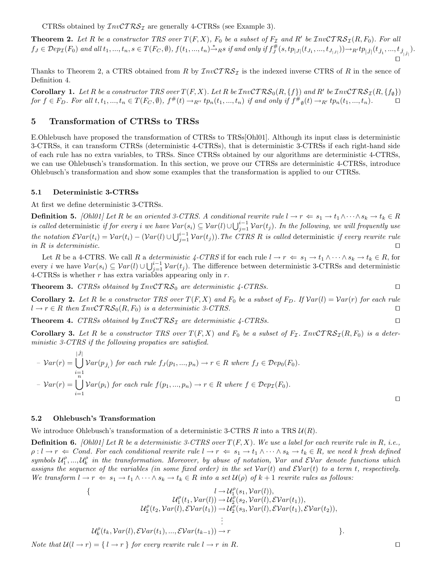CTRSs obtained by  $\mathcal{I}nv\mathcal{C}T\mathcal{RS}_{\mathcal{I}}$  are generally 4-CTRSs (see Example 3).

**Theorem 2.** Let R be a constructor TRS over  $T(F, X)$ ,  $F_0$  be a subset of  $F<sub>I</sub>$  and R' be  $InvCTRS<sub>I</sub>(R, F_0)$ . For all  $f_J \in \mathcal{D}ep_\mathcal{I}(F_0)$  and all  $t_1, ..., t_n, s \in T(F_C, \emptyset)$ ,  $f(t_1, ..., t_n) \xrightarrow{\ast}$  as if and only if  $f_J^{\#}(s, tp_{|J|}(t_{J_1}, ..., t_{J_{|J|}})) \rightarrow_R t p_{|\hat{J}|}(t_{\hat{J}_1}, ..., t_{\hat{J}_{|\hat{J}|}})$ .  $\Box$ 

Thanks to Theorem 2, a CTRS obtained from R by  $\mathcal{I}nv\mathcal{C}T\mathcal{R}\mathcal{S}\mathcal{I}$  is the indexed inverse CTRS of R in the sence of Definition 4.

**Corollary 1.** Let R be a constructor TRS over  $T(F, X)$ . Let R be  $InvCTRS_0(R, \{f\})$  and R' be  $InvCTRS_1(R, \{f_{\emptyset}\})$ *for f* ∈ *F*<sub>D</sub>. For all t, t<sub>1</sub>, ..., t<sub>n</sub> ∈ T(*F*<sub>C</sub>,  $\emptyset$ ),  $f^{\#}(t) \to_{R''} tp_n(t_1, ..., t_n)$  *if and only if*  $f^{\#}_{\emptyset}(t) \to_{R'} tp_n(t_1, ..., t_n)$ . □

# **5 Transformation of CTRSs to TRSs**

E.Ohlebusch have proposed the transformation of CTRSs to TRSs[Ohl01]. Although its input class is deterministic 3-CTRSs, it can transform CTRSs (deterministic 4-CTRSs), that is deterministic 3-CTRSs if each right-hand side of each rule has no extra variables, to TRSs. Since CTRSs obtained by our algorithms are deterministic 4-CTRSs, we can use Ohlebusch's transformation. In this section, we prove our CTRSs are deterministic 4-CTRSs, introduce Ohlebusch's transformation and show some examples that the transformation is applied to our CTRSs.

#### **5.1 Deterministic 3-CTRSs**

At first we define deterministic 3-CTRSs.

**Definition 5.** *[Ohl01] Let* R *be an oriented 3-CTRS. A conditional rewrite rule*  $l \rightarrow r \Leftarrow s_1 \rightarrow t_1 \wedge \cdots \wedge s_k \rightarrow t_k \in R$ *is called* deterministic *if for every i* we have  $Var(s_i) \subseteq Var(l) \cup \bigcup_{j=1}^{i-1} Var(t_j)$ . In the following, we will frequently use *the notation*  $\mathcal{E}Var(t_i) = Var(t_i) - (Var(l) \cup \bigcup_{j=1}^{i-1} Var(t_j))$ . The CTRS R is called deterministic *if every rewrite rule in* R *is deterministic.*

Let R be a 4-CTRS. We call R a *deterministic 4-CTRS* if for each rule  $l \to r \Leftarrow s_1 \to t_1 \wedge \cdots \wedge s_k \to t_k \in R$ , for every *i* we have  $Var(s_i) \subseteq Var(l) \cup \bigcup_{j=1}^{i-1} Var(t_j)$ . The difference between deterministic 3-CTRSs and deterministic 4-CTRSs is whether r has extra variables appearing only in  $r$ .

**Theorem 3.** *CTRSs obtained by* InvCT RS<sup>0</sup> *are deterministic 4-CTRSs.*

**Corollary 2.** Let R be a constructor TRS over  $T(F, X)$  and  $F_0$  be a subset of  $F_D$ . If  $Var(l) = Var(r)$  for each rule  $l \to r \in R$  then  $\mathcal{I}nv\mathcal{C}TRS_0(R, F_0)$  is a deterministic 3-CTRS.

**Theorem 4.** *CTRSs obtained by*  $InvCTRS<sub>I</sub>$  *are deterministic 4-CTRSs.* 

**Corollary 3.** Let R be a constructor TRS over  $T(F, X)$  and  $F_0$  be a subset of  $F<sub>I</sub>$ . InvCTRS<sub>I</sub>(R, F<sub>0</sub>) is a deter*ministic 3-CTRS if the following propaties are satisfied.*

$$
- \mathcal{V}ar(r) = \bigcup_{i=1}^{|\hat{J}|} \mathcal{V}ar(p_{\hat{J}_i}) \text{ for each rule } f_J(p_1, ..., p_n) \to r \in R \text{ where } f_J \in \mathcal{D}ep_0(F_0).
$$
  

$$
- \mathcal{V}ar(r) = \bigcup_{i=1}^{n} \mathcal{V}ar(p_i) \text{ for each rule } f(p_1, ..., p_n) \to r \in R \text{ where } f \in \mathcal{D}ep_T(F_0).
$$

## **5.2 Ohlebusch's Transformation**

We introduce Ohlebusch's transformation of a deterministic 3-CTRS R into a TRS  $\mathcal{U}(R)$ .

**Definition 6.**  $[Ohl01]$  Let R be a deterministic 3-CTRS over  $T(F, X)$ . We use a label for each rewrite rule in R, i.e.,  $\rho: l \to r \Leftrightarrow Cond.$  For each conditional rewrite rule  $l \to r \Leftrightarrow s_1 \to t_1 \wedge \cdots \wedge s_k \to t_k \in R$ , we need k fresh defined  $Symbols$   $\mathcal{U}_1^{\rho},...,\mathcal{U}_k^{\rho}$  in the transformation. Moreover, by abuse of notation,  $Var$  and  $EVar$  denote functions which *assigns the sequence of the variables (in some fixed order) in the set*  $Var(t)$  *and*  $EVar(t)$  *to a term t, respectively. We transform*  $l \to r \iff s_1 \to t_1 \land \cdots \land s_k \to t_k \in R$  *into a set*  $\mathcal{U}(\rho)$  *of*  $k+1$  *rewrite rules as follows:* 

{
$$
l \rightarrow U_1^{\rho}(s_1, Var(l)),
$$
  
\n
$$
U_1^{\rho}(t_1, Var(l)) \rightarrow U_2^{\rho}(s_2, Var(l), \mathcal{E}Var(t_1)),
$$
  
\n
$$
U_2^{\rho}(t_2, Var(l), \mathcal{E}Var(t_1)) \rightarrow U_2^{\rho}(s_3, Var(l), \mathcal{E}Var(t_1), \mathcal{E}Var(t_2)),
$$
  
\n
$$
\vdots
$$
  
\n
$$
U_k^{\rho}(t_k, Var(l), \mathcal{E}Var(t_1), ..., \mathcal{E}Var(t_{k-1})) \rightarrow r
$$
  
\n
$$
\vdots
$$
  
\n
$$
\vdots
$$

*Note that*  $\mathcal{U}(l \to r) = \{l \to r\}$  *for every rewrite rule*  $l \to r$  *in* R.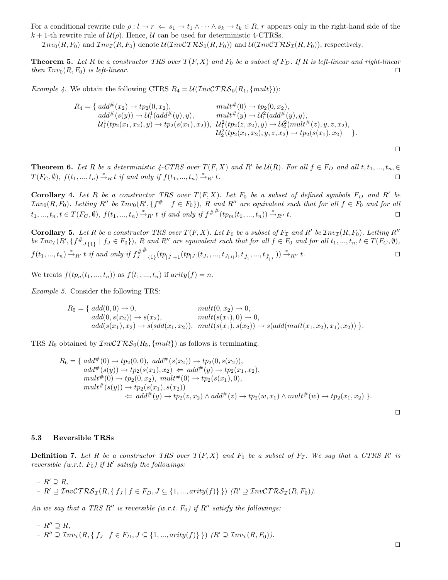For a conditional rewrite rule  $\rho: l \to r \Leftrightarrow s_1 \to t_1 \wedge \cdots \wedge s_k \to t_k \in R$ , r appears only in the right-hand side of the  $k + 1$ -th rewrite rule of  $\mathcal{U}(\rho)$ . Hence,  $\mathcal{U}$  can be used for deterministic 4-CTRSs.

 $Inv_0(R, F_0)$  and  $Inv_{\mathcal{I}}(R, F_0)$  denote  $U(Inv\mathcal{CTRS}_0(R, F_0))$  and  $U(Inv\mathcal{CTRS}_1(R, F_0))$ , respectively.

**Theorem 5.** Let R be a constructor TRS over  $T(F, X)$  and  $F_0$  be a subset of  $F_D$ . If R is left-linear and right-linear  $\mathcal{I} = \text{trace}(R, F_0)$  *is left-linear.* 

*Example 4.* We obtain the following CTRS  $R_4 = \mathcal{U}(\mathcal{I}nv\mathcal{C}TRS_0(R_1, \{mult\}))$ :

$$
R_4 = \{ add^{\#}(x_2) \rightarrow tp_2(0, x_2), \qquad mult^{\#}(0) \rightarrow tp_2(0, x_2),add^{\#}(s(y)) \rightarrow U_1^1(add^{\#}(y), y), \qquad mult^{\#}(y) \rightarrow U_1^2(add^{\#}(y), y),U_1^1(tp_2(x_1, x_2), y) \rightarrow tp_2(s(x_1), x_2)), \quad U_1^2(tp_2(z, x_2), y) \rightarrow U_2^2(mult^{\#}(z), y, z, x_2),U_2^2(tp_2(x_1, x_2), y, z, x_2) \rightarrow tp_2(s(x_1), x_2) \}.
$$

**Theorem 6.** Let R be a deterministic 4-CTRS over  $T(F, X)$  and R' be  $\mathcal{U}(R)$ . For all  $f \in F_D$  and all  $t, t_1, ..., t_n, \in$  $T(F_C, \emptyset)$ ,  $f(t_1, ..., t_n) \stackrel{*}{\rightarrow}_R t$  *if and only if*  $f(t_1, ..., t_n) \stackrel{*}{\rightarrow}$  $\stackrel{*}{\rightarrow}_{R'} t.$ 

**Corollary 4.** Let R be a constructor TRS over  $T(F, X)$ . Let  $F_0$  be a subset of defined symbols  $F_D$  and  $R'$  be  $Inv_0(R, F_0)$ . Letting  $R''$  be  $Inv_0(R', \{f^\# \mid f \in F_0\})$ ,  $R$  and  $R''$  are equivalent such that for all  $f \in F_0$  and for all  $t_1, ..., t_n, t \in T(F_C, \emptyset), f(t_1, ..., t_n) \stackrel{*}{\rightarrow}_{R'} t \text{ if and only if } f^{\#^{\#}}(tp_m(t_1, ..., t_n)) \stackrel{*}{\rightarrow}_{R''} t.$ 

**Corollary 5.** Let R be a constructor TRS over  $T(F, X)$ . Let  $F_0$  be a subset of  $F_{\mathcal{I}}$  and R' be  $\mathcal{I}nv_{\mathcal{I}}(R, F_0)$ . Letting R''  $be \,\mathcal{I}nv_{\mathcal{I}}(R',\{f^{\#}_{J_{\{1\}}}\mid f_{J}\in F_{0}\}),$  R and  $R''$  are equivalent such that for all  $f\in F_{0}$  and for all  $t_{1},...,t_{n}, t\in T(F_{C},\emptyset),$  $f(t_1, ..., t_n) \stackrel{*}{\rightarrow}_{{R'}} t$  *if and only if*  $f_J^{\#}$  $^{\#}\mathbf{1}_{\{1\}}(tp_{|J|+1}(tp_{|J|}(t_{J_1},...,t_{J_{|J|}}),t_{\hat{J}_1},...,t_{\hat{J}_{|\hat{J}|}})) \xrightarrow{\ast}_{R''} t.$ 

We treats  $f(tp_n(t_1, ..., t_n))$  as  $f(t_1, ..., t_n)$  if  $arity(f) = n$ .

*Example 5.* Consider the following TRS:

$$
R_5 = \{ add(0,0) \to 0, \quad mult(0,x_2) \to 0, add(0,s(x_2)) \to s(x_2), \quad mult(s(x_1),0) \to 0, add(s(x_1),x_2) \to s(sdd(x_1,x_2)), \quad mult(s(x_1),s(x_2)) \to s(add(mult(x_1,x_2),x_1),x_2)) \}.
$$

TRS  $R_6$  obtained by  $\mathcal{I}nv\mathcal{C}T\mathcal{R}\mathcal{S}_0(R_5, \{mult\})$  as follows is terminating.

$$
R_6 = \{ add^{\#}(0) \rightarrow tp_2(0,0), add^{\#}(s(x_2)) \rightarrow tp_2(0,s(x_2)),add^{\#}(s(y)) \rightarrow tp_2(s(x_1), x_2) \Leftarrow add^{\#}(y) \rightarrow tp_2(x_1, x_2),mult^{\#}(0) \rightarrow tp_2(0, x_2), mult^{\#}(0) \rightarrow tp_2(s(x_1), 0),mult^{\#}(s(y)) \rightarrow tp_2(s(x_1), s(x_2))
$$
\Leftarrow add^{\#}(y) \rightarrow tp_2(z, x_2) \land add^{\#}(z) \rightarrow tp_2(w, x_1) \land mult^{\#}(w) \rightarrow tp_2(x_1, x_2) \}.
$$
$$

 $\Box$ 

 $\Box$ 

#### **5.3 Reversible TRSs**

**Definition 7.** Let R be a constructor TRS over  $T(F, X)$  and  $F_0$  be a subset of  $F<sub>I</sub>$ . We say that a CTRS R' is *reversible (w.r.t.*  $F_0$ ) if R' *satisfy the followings:* 

 $- R' \supseteq R$ ,  $- R' \supseteq InvCTRS_{\mathcal{I}}(R, \{ f_J | f \in F_D, J \subseteq \{1, ..., arity(f) \} \})$  *(R'* $\supseteq InvCTRS_{\mathcal{I}}(R, F_0)$ *)*.

*An we say that a TRS R'' is reversible (w.r.t.*  $F_0$ ) if  $R''$  satisfy the followings:

$$
- R'' \supseteq R,
$$
  
- R'' 
$$
\supseteq Inv_{\mathcal{I}}(R, \{ f_J \mid f \in F_D, J \subseteq \{ 1, ..., arity(f) \} \}) (R' \supseteq Inv_{\mathcal{I}}(R, F_0)).
$$

 $\Box$